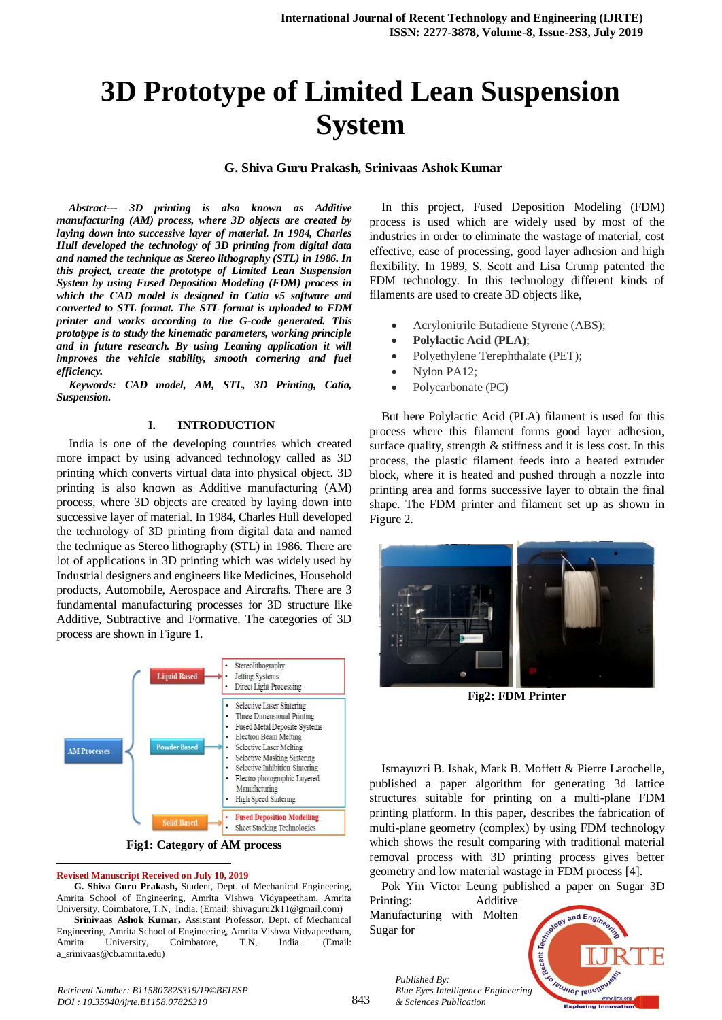# **3D Prototype of Limited Lean Suspension System**

# **G. Shiva Guru Prakash, Srinivaas Ashok Kumar**

*Abstract--- 3D printing is also known as Additive manufacturing (AM) process, where 3D objects are created by laying down into successive layer of material. In 1984, Charles Hull developed the technology of 3D printing from digital data and named the technique as Stereo lithography (STL) in 1986. In this project, create the prototype of Limited Lean Suspension System by using Fused Deposition Modeling (FDM) process in which the CAD model is designed in Catia v5 software and converted to STL format. The STL format is uploaded to FDM printer and works according to the G-code generated. This prototype is to study the kinematic parameters, working principle and in future research. By using Leaning application it will improves the vehicle stability, smooth cornering and fuel efficiency.*

*Keywords: CAD model, AM, STL, 3D Printing, Catia, Suspension.*

### **I. INTRODUCTION**

India is one of the developing countries which created more impact by using advanced technology called as 3D printing which converts virtual data into physical object. 3D printing is also known as Additive manufacturing (AM) process, where 3D objects are created by laying down into successive layer of material. In 1984, Charles Hull developed the technology of 3D printing from digital data and named the technique as Stereo lithography (STL) in 1986. There are lot of applications in 3D printing which was widely used by Industrial designers and engineers like Medicines, Household products, Automobile, Aerospace and Aircrafts. There are 3 fundamental manufacturing processes for 3D structure like Additive, Subtractive and Formative. The categories of 3D process are shown in Figure 1.



**Fig1: Category of AM process**

#### **Revised Manuscript Received on July 10, 2019**

 $\overline{a}$ 

**G. Shiva Guru Prakash,** Student, Dept. of Mechanical Engineering, Amrita School of Engineering, Amrita Vishwa Vidyapeetham, Amrita University, Coimbatore, T.N, India. (Email: shivaguru2k11@gmail.com)

**Srinivaas Ashok Kumar,** Assistant Professor, Dept. of Mechanical Engineering, Amrita School of Engineering, Amrita Vishwa Vidyapeetham, Amrita University, Coimbatore, T.N, India. (Email: a\_srinivaas@cb.amrita.edu)

In this project, Fused Deposition Modeling (FDM) process is used which are widely used by most of the industries in order to eliminate the wastage of material, cost effective, ease of processing, good layer adhesion and high flexibility. In 1989, S. Scott and Lisa Crump patented the FDM technology. In this technology different kinds of filaments are used to create 3D objects like,

- Acrylonitrile Butadiene Styrene (ABS);
- **Polylactic Acid (PLA)**;
- Polyethylene Terephthalate (PET);
- Nylon PA12;
- Polycarbonate (PC)

But here Polylactic Acid (PLA) filament is used for this process where this filament forms good layer adhesion, surface quality, strength & stiffness and it is less cost. In this process, the plastic filament feeds into a heated extruder block, where it is heated and pushed through a nozzle into printing area and forms successive layer to obtain the final shape. The FDM printer and filament set up as shown in Figure 2.



**Fig2: FDM Printer**

Ismayuzri B. Ishak, Mark B. Moffett & Pierre Larochelle, published a paper algorithm for generating 3d lattice structures suitable for printing on a multi-plane FDM printing platform. In this paper, describes the fabrication of multi-plane geometry (complex) by using FDM technology which shows the result comparing with traditional material removal process with 3D printing process gives better geometry and low material wastage in FDM process [4].

Pok Yin Victor Leung published a paper on Sugar 3D Printing: Additive

Manufacturing with Molten Sugar for

*Published By:*

*& Sciences Publication* 

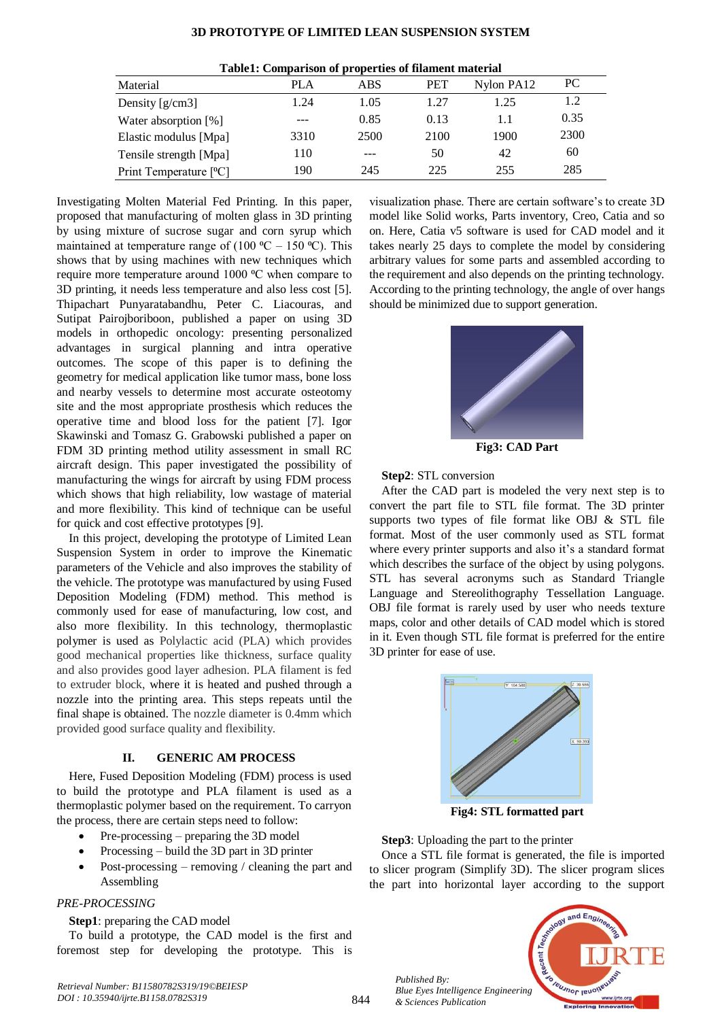# **3D PROTOTYPE OF LIMITED LEAN SUSPENSION SYSTEM**

| Tubici, comparison or properties of mainent material |            |      |            |            |      |  |
|------------------------------------------------------|------------|------|------------|------------|------|--|
| Material                                             | <b>PLA</b> | ABS  | <b>PET</b> | Nylon PA12 | PC.  |  |
| Density $[g/cm3]$                                    | 1.24       | 1.05 | 1.27       | 1.25       | 1.2  |  |
| Water absorption [%]                                 | ---        | 0.85 | 0.13       |            | 0.35 |  |
| Elastic modulus [Mpa]                                | 3310       | 2500 | 2100       | 1900       | 2300 |  |
| Tensile strength [Mpa]                               | 110        | ---  | 50         | 42         | 60   |  |
| Print Temperature [ <sup>o</sup> C]                  | 190        | 245  | 225        | 255        | 285  |  |

| Table1: Comparison of properties of filament material |  |  |
|-------------------------------------------------------|--|--|
|-------------------------------------------------------|--|--|

Investigating Molten Material Fed Printing. In this paper, proposed that manufacturing of molten glass in 3D printing by using mixture of sucrose sugar and corn syrup which maintained at temperature range of  $(100 °C - 150 °C)$ . This shows that by using machines with new techniques which require more temperature around 1000 °C when compare to 3D printing, it needs less temperature and also less cost [5]. Thipachart Punyaratabandhu, Peter C. Liacouras, and Sutipat Pairojboriboon, published a paper on using 3D models in orthopedic oncology: presenting personalized advantages in surgical planning and intra operative outcomes. The scope of this paper is to defining the geometry for medical application like tumor mass, bone loss and nearby vessels to determine most accurate osteotomy site and the most appropriate prosthesis which reduces the operative time and blood loss for the patient [7]. Igor Skawinski and Tomasz G. Grabowski published a paper on FDM 3D printing method utility assessment in small RC aircraft design. This paper investigated the possibility of manufacturing the wings for aircraft by using FDM process which shows that high reliability, low wastage of material and more flexibility. This kind of technique can be useful for quick and cost effective prototypes [9].

In this project, developing the prototype of Limited Lean Suspension System in order to improve the Kinematic parameters of the Vehicle and also improves the stability of the vehicle. The prototype was manufactured by using Fused Deposition Modeling (FDM) method. This method is commonly used for ease of manufacturing, low cost, and also more flexibility. In this technology, thermoplastic polymer is used as Polylactic acid (PLA) which provides good mechanical properties like thickness, surface quality and also provides good layer adhesion. PLA filament is fed to extruder block, where it is heated and pushed through a nozzle into the printing area. This steps repeats until the final shape is obtained. The nozzle diameter is 0.4mm which provided good surface quality and flexibility.

## **II. GENERIC AM PROCESS**

Here, Fused Deposition Modeling (FDM) process is used to build the prototype and PLA filament is used as a thermoplastic polymer based on the requirement. To carryon the process, there are certain steps need to follow:

- Pre-processing preparing the 3D model
- Processing build the 3D part in 3D printer
- Post-processing removing / cleaning the part and Assembling

#### *PRE-PROCESSING*

#### **Step1**: preparing the CAD model

To build a prototype, the CAD model is the first and foremost step for developing the prototype. This is

visualization phase. There are certain software's to create 3D model like Solid works, Parts inventory, Creo, Catia and so on. Here, Catia v5 software is used for CAD model and it takes nearly 25 days to complete the model by considering arbitrary values for some parts and assembled according to the requirement and also depends on the printing technology. According to the printing technology, the angle of over hangs should be minimized due to support generation.



**Fig3: CAD Part**

# **Step2**: STL conversion

After the CAD part is modeled the very next step is to convert the part file to STL file format. The 3D printer supports two types of file format like OBJ & STL file format. Most of the user commonly used as STL format where every printer supports and also it's a standard format which describes the surface of the object by using polygons. STL has several acronyms such as Standard Triangle Language and Stereolithography Tessellation Language. OBJ file format is rarely used by user who needs texture maps, color and other details of CAD model which is stored in it. Even though STL file format is preferred for the entire 3D printer for ease of use.



**Fig4: STL formatted part**

**Step3**: Uploading the part to the printer

Once a STL file format is generated, the file is imported to slicer program (Simplify 3D). The slicer program slices the part into horizontal layer according to the support

*Published By: Blue Eyes Intelligence Engineering & Sciences Publication* 

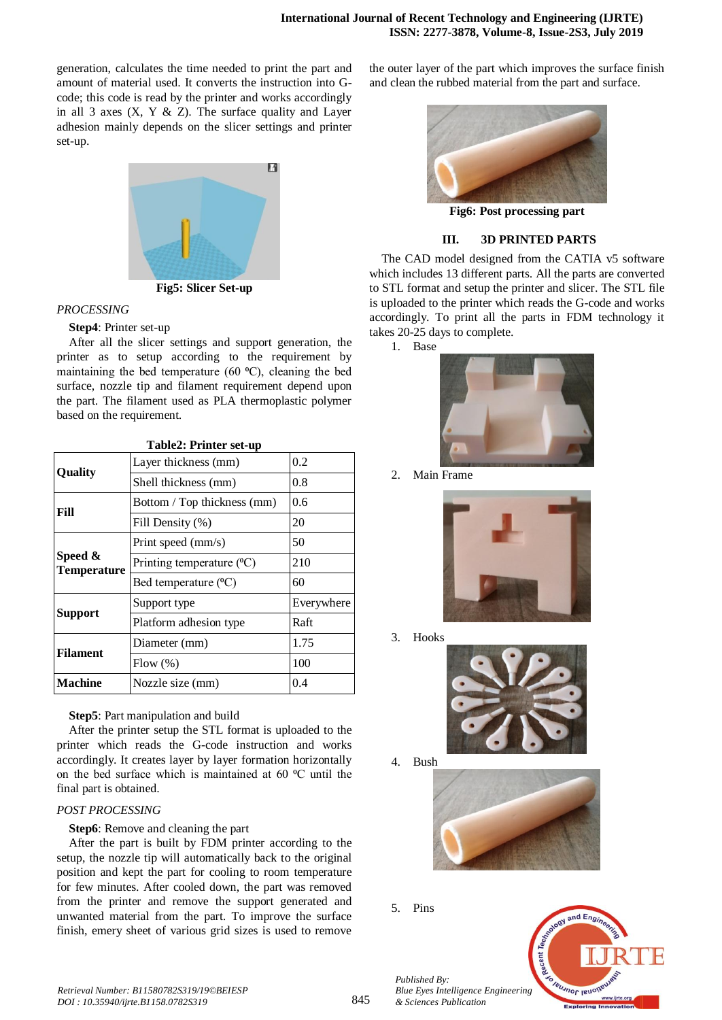generation, calculates the time needed to print the part and amount of material used. It converts the instruction into Gcode; this code is read by the printer and works accordingly in all 3 axes  $(X, Y \& Z)$ . The surface quality and Layer adhesion mainly depends on the slicer settings and printer set-up.



# *PROCESSING* **Step4**: Printer set-up

After all the slicer settings and support generation, the printer as to setup according to the requirement by maintaining the bed temperature (60  $^{\circ}$ C), cleaning the bed surface, nozzle tip and filament requirement depend upon the part. The filament used as PLA thermoplastic polymer based on the requirement.

| Layer thickness (mm)             |            |  |
|----------------------------------|------------|--|
|                                  | 0.2        |  |
| Shell thickness (mm)             | 0.8        |  |
| Bottom / Top thickness (mm)      | 0.6        |  |
| Fill Density (%)                 | 20         |  |
| Print speed (mm/s)               | 50         |  |
| Printing temperature $({}^{0}C)$ | 210        |  |
| Bed temperature (°C)             | 60         |  |
| Support type                     | Everywhere |  |
| Platform adhesion type           | Raft       |  |
| Diameter (mm)                    | 1.75       |  |
| Flow (%)                         | 100        |  |
| Nozzle size (mm)                 | 0.4        |  |
|                                  |            |  |

**Table2: Printer set-up**

**Step5**: Part manipulation and build

After the printer setup the STL format is uploaded to the printer which reads the G-code instruction and works accordingly. It creates layer by layer formation horizontally on the bed surface which is maintained at 60 °C until the final part is obtained.

# *POST PROCESSING*

**Step6**: Remove and cleaning the part

After the part is built by FDM printer according to the setup, the nozzle tip will automatically back to the original position and kept the part for cooling to room temperature for few minutes. After cooled down, the part was removed from the printer and remove the support generated and unwanted material from the part. To improve the surface finish, emery sheet of various grid sizes is used to remove

the outer layer of the part which improves the surface finish and clean the rubbed material from the part and surface.



**Fig6: Post processing part**

# **III. 3D PRINTED PARTS**

The CAD model designed from the CATIA v5 software which includes 13 different parts. All the parts are converted to STL format and setup the printer and slicer. The STL file is uploaded to the printer which reads the G-code and works accordingly. To print all the parts in FDM technology it takes 20-25 days to complete.

1. Base



2. Main Frame



3. Hooks



4. Bush



5. Pins



*Published By: Blue Eyes Intelligence Engineering & Sciences Publication*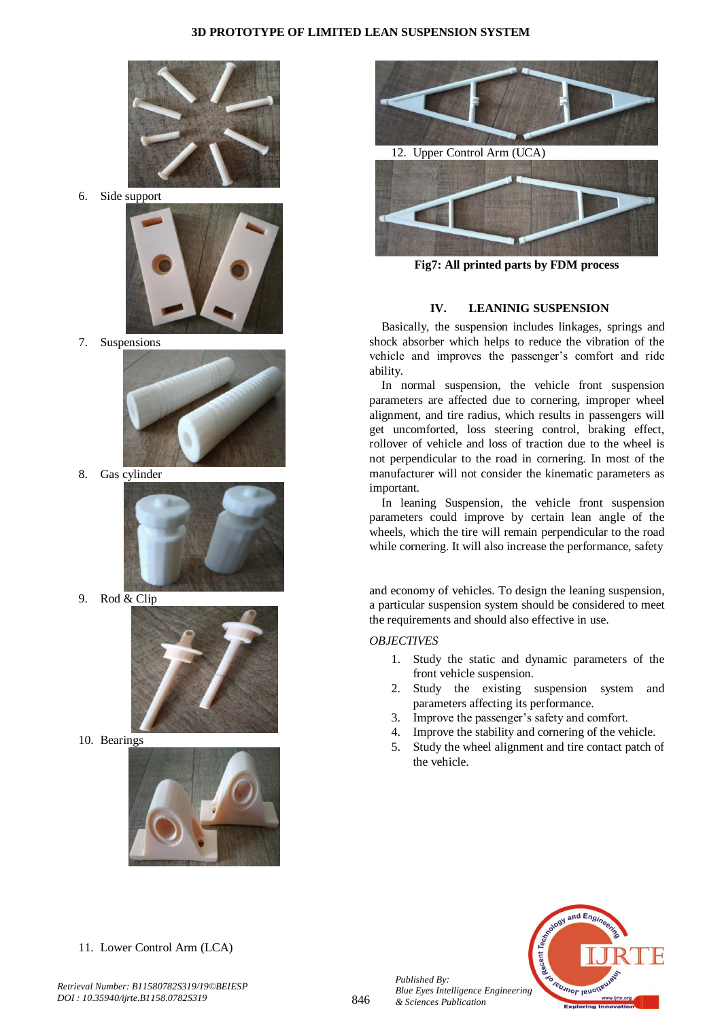

6. Side support



7. Suspensions



8. Gas cylinder



9. Rod & Clip



10. Bearings





**Fig7: All printed parts by FDM process**

# **IV. LEANINIG SUSPENSION**

Basically, the suspension includes linkages, springs and shock absorber which helps to reduce the vibration of the vehicle and improves the passenger's comfort and ride ability.

In normal suspension, the vehicle front suspension parameters are affected due to cornering, improper wheel alignment, and tire radius, which results in passengers will get uncomforted, loss steering control, braking effect, rollover of vehicle and loss of traction due to the wheel is not perpendicular to the road in cornering. In most of the manufacturer will not consider the kinematic parameters as important.

In leaning Suspension, the vehicle front suspension parameters could improve by certain lean angle of the wheels, which the tire will remain perpendicular to the road while cornering. It will also increase the performance, safety

and economy of vehicles. To design the leaning suspension, a particular suspension system should be considered to meet the requirements and should also effective in use.

# *OBJECTIVES*

- 1. Study the static and dynamic parameters of the front vehicle suspension.
- 2. Study the existing suspension system and parameters affecting its performance.
- 3. Improve the passenger's safety and comfort.
- 4. Improve the stability and cornering of the vehicle.
- 5. Study the wheel alignment and tire contact patch of the vehicle.



11. Lower Control Arm (LCA)

*Published By: Blue Eyes Intelligence Engineering & Sciences Publication*